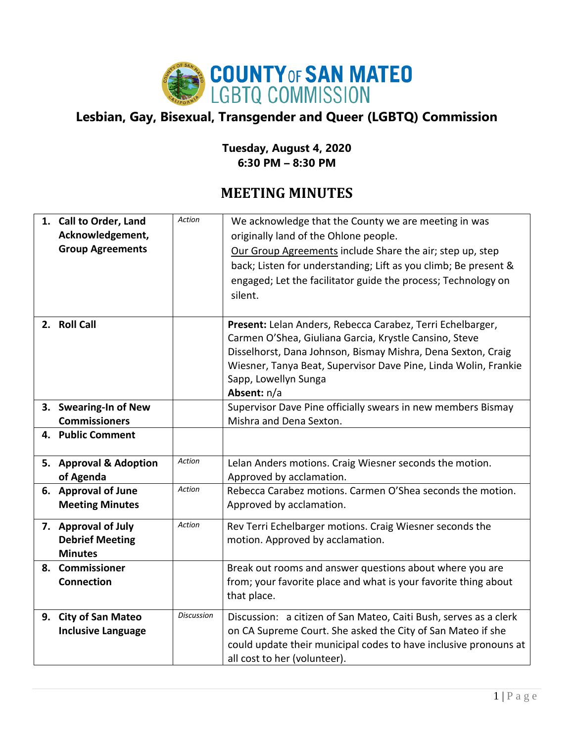

## **Lesbian, Gay, Bisexual, Transgender and Queer (LGBTQ) Commission**

## **Tuesday, August 4, 2020 6:30 PM – 8:30 PM**

## **MEETING MINUTES**

| 1. Call to Order, Land<br>Acknowledgement,<br><b>Group Agreements</b> | Action            | We acknowledge that the County we are meeting in was<br>originally land of the Ohlone people.<br>Our Group Agreements include Share the air; step up, step<br>back; Listen for understanding; Lift as you climb; Be present &<br>engaged; Let the facilitator guide the process; Technology on<br>silent. |
|-----------------------------------------------------------------------|-------------------|-----------------------------------------------------------------------------------------------------------------------------------------------------------------------------------------------------------------------------------------------------------------------------------------------------------|
| 2. Roll Call                                                          |                   | Present: Lelan Anders, Rebecca Carabez, Terri Echelbarger,<br>Carmen O'Shea, Giuliana Garcia, Krystle Cansino, Steve<br>Disselhorst, Dana Johnson, Bismay Mishra, Dena Sexton, Craig<br>Wiesner, Tanya Beat, Supervisor Dave Pine, Linda Wolin, Frankie<br>Sapp, Lowellyn Sunga<br>Absent: n/a            |
| 3. Swearing-In of New<br><b>Commissioners</b>                         |                   | Supervisor Dave Pine officially swears in new members Bismay<br>Mishra and Dena Sexton.                                                                                                                                                                                                                   |
| 4. Public Comment                                                     |                   |                                                                                                                                                                                                                                                                                                           |
| 5. Approval & Adoption<br>of Agenda                                   | Action            | Lelan Anders motions. Craig Wiesner seconds the motion.<br>Approved by acclamation.                                                                                                                                                                                                                       |
| 6. Approval of June<br><b>Meeting Minutes</b>                         | Action            | Rebecca Carabez motions. Carmen O'Shea seconds the motion.<br>Approved by acclamation.                                                                                                                                                                                                                    |
| 7. Approval of July<br><b>Debrief Meeting</b><br><b>Minutes</b>       | Action            | Rev Terri Echelbarger motions. Craig Wiesner seconds the<br>motion. Approved by acclamation.                                                                                                                                                                                                              |
| 8. Commissioner<br>Connection                                         |                   | Break out rooms and answer questions about where you are<br>from; your favorite place and what is your favorite thing about<br>that place.                                                                                                                                                                |
| 9. City of San Mateo<br><b>Inclusive Language</b>                     | <b>Discussion</b> | Discussion: a citizen of San Mateo, Caiti Bush, serves as a clerk<br>on CA Supreme Court. She asked the City of San Mateo if she<br>could update their municipal codes to have inclusive pronouns at<br>all cost to her (volunteer).                                                                      |